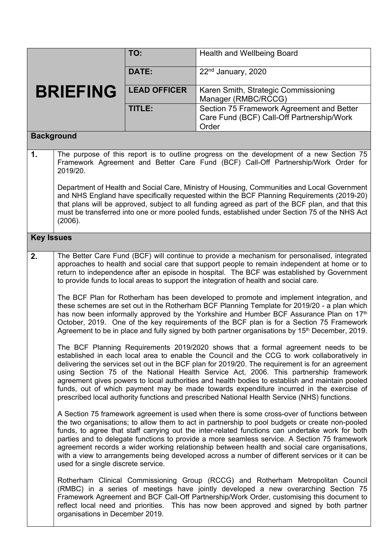|                   |                                                                                                                                                                                                                                                                                                                                                                                                                                                                                                                                                                                                                                                                            | TO:                 | <b>Health and Wellbeing Board</b>                                                                                                                                                                                                                                                                                                                                                                                                                                                                                                                                                                   |  |
|-------------------|----------------------------------------------------------------------------------------------------------------------------------------------------------------------------------------------------------------------------------------------------------------------------------------------------------------------------------------------------------------------------------------------------------------------------------------------------------------------------------------------------------------------------------------------------------------------------------------------------------------------------------------------------------------------------|---------------------|-----------------------------------------------------------------------------------------------------------------------------------------------------------------------------------------------------------------------------------------------------------------------------------------------------------------------------------------------------------------------------------------------------------------------------------------------------------------------------------------------------------------------------------------------------------------------------------------------------|--|
|                   |                                                                                                                                                                                                                                                                                                                                                                                                                                                                                                                                                                                                                                                                            | DATE:               | 22 <sup>nd</sup> January, 2020                                                                                                                                                                                                                                                                                                                                                                                                                                                                                                                                                                      |  |
| <b>BRIEFING</b>   |                                                                                                                                                                                                                                                                                                                                                                                                                                                                                                                                                                                                                                                                            | <b>LEAD OFFICER</b> | Karen Smith, Strategic Commissioning<br>Manager (RMBC/RCCG)                                                                                                                                                                                                                                                                                                                                                                                                                                                                                                                                         |  |
|                   |                                                                                                                                                                                                                                                                                                                                                                                                                                                                                                                                                                                                                                                                            | TITLE:              | Section 75 Framework Agreement and Better<br>Care Fund (BCF) Call-Off Partnership/Work<br>Order                                                                                                                                                                                                                                                                                                                                                                                                                                                                                                     |  |
| <b>Background</b> |                                                                                                                                                                                                                                                                                                                                                                                                                                                                                                                                                                                                                                                                            |                     |                                                                                                                                                                                                                                                                                                                                                                                                                                                                                                                                                                                                     |  |
| $\mathbf 1$ .     | The purpose of this report is to outline progress on the development of a new Section 75<br>Framework Agreement and Better Care Fund (BCF) Call-Off Partnership/Work Order for<br>2019/20.                                                                                                                                                                                                                                                                                                                                                                                                                                                                                 |                     |                                                                                                                                                                                                                                                                                                                                                                                                                                                                                                                                                                                                     |  |
|                   | Department of Health and Social Care, Ministry of Housing, Communities and Local Government<br>and NHS England have specifically requested within the BCF Planning Requirements (2019-20)<br>that plans will be approved, subject to all funding agreed as part of the BCF plan, and that this<br>must be transferred into one or more pooled funds, established under Section 75 of the NHS Act<br>(2006).                                                                                                                                                                                                                                                                |                     |                                                                                                                                                                                                                                                                                                                                                                                                                                                                                                                                                                                                     |  |
| <b>Key Issues</b> |                                                                                                                                                                                                                                                                                                                                                                                                                                                                                                                                                                                                                                                                            |                     |                                                                                                                                                                                                                                                                                                                                                                                                                                                                                                                                                                                                     |  |
| 2.                | The Better Care Fund (BCF) will continue to provide a mechanism for personalised, integrated<br>approaches to health and social care that support people to remain independent at home or to<br>return to independence after an episode in hospital. The BCF was established by Government<br>to provide funds to local areas to support the integration of health and social care.                                                                                                                                                                                                                                                                                        |                     |                                                                                                                                                                                                                                                                                                                                                                                                                                                                                                                                                                                                     |  |
|                   | The BCF Plan for Rotherham has been developed to promote and implement integration, and<br>these schemes are set out in the Rotherham BCF Planning Template for 2019/20 - a plan which<br>has now been informally approved by the Yorkshire and Humber BCF Assurance Plan on 17th<br>October, 2019. One of the key requirements of the BCF plan is for a Section 75 Framework<br>Agreement to be in place and fully signed by both partner organisations by 15 <sup>th</sup> December, 2019.                                                                                                                                                                               |                     |                                                                                                                                                                                                                                                                                                                                                                                                                                                                                                                                                                                                     |  |
|                   | The BCF Planning Requirements 2019/2020 shows that a formal agreement needs to be<br>established in each local area to enable the Council and the CCG to work collaboratively in<br>delivering the services set out in the BCF plan for 2019/20. The requirement is for an agreement<br>using Section 75 of the National Health Service Act, 2006. This partnership framework<br>agreement gives powers to local authorities and health bodies to establish and maintain pooled<br>funds, out of which payment may be made towards expenditure incurred in the exercise of<br>prescribed local authority functions and prescribed National Health Service (NHS) functions. |                     |                                                                                                                                                                                                                                                                                                                                                                                                                                                                                                                                                                                                     |  |
|                   | used for a single discrete service.                                                                                                                                                                                                                                                                                                                                                                                                                                                                                                                                                                                                                                        |                     | A Section 75 framework agreement is used when there is some cross-over of functions between<br>the two organisations; to allow them to act in partnership to pool budgets or create non-pooled<br>funds, to agree that staff carrying out the inter-related functions can undertake work for both<br>parties and to delegate functions to provide a more seamless service. A Section 75 framework<br>agreement records a wider working relationship between health and social care organisations,<br>with a view to arrangements being developed across a number of different services or it can be |  |
|                   | organisations in December 2019.                                                                                                                                                                                                                                                                                                                                                                                                                                                                                                                                                                                                                                            |                     | Rotherham Clinical Commissioning Group (RCCG) and Rotherham Metropolitan Council<br>(RMBC) in a series of meetings have jointly developed a new overarching Section 75<br>Framework Agreement and BCF Call-Off Partnership/Work Order, customising this document to<br>reflect local need and priorities. This has now been approved and signed by both partner                                                                                                                                                                                                                                     |  |